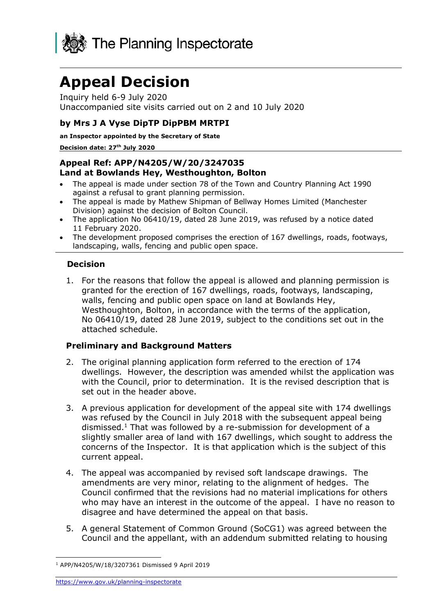

# **Appeal Decision**

Inquiry held 6-9 July 2020 Unaccompanied site visits carried out on 2 and 10 July 2020

# **by Mrs J A Vyse DipTP DipPBM MRTPI**

**an Inspector appointed by the Secretary of State** 

**Decision date: 27th July 2020**

## **Appeal Ref: APP/N4205/W/20/3247035 Land at Bowlands Hey, Westhoughton, Bolton**

- The appeal is made under section 78 of the Town and Country Planning Act 1990 against a refusal to grant planning permission.
- The appeal is made by Mathew Shipman of Bellway Homes Limited (Manchester Division) against the decision of Bolton Council.
- The application No 06410/19, dated 28 June 2019, was refused by a notice dated 11 February 2020.
- The development proposed comprises the erection of 167 dwellings, roads, footways, landscaping, walls, fencing and public open space.

## **Decision**

1. For the reasons that follow the appeal is allowed and planning permission is granted for the erection of 167 dwellings, roads, footways, landscaping, walls, fencing and public open space on land at Bowlands Hey, Westhoughton, Bolton, in accordance with the terms of the application, No 06410/19, dated 28 June 2019, subject to the conditions set out in the attached schedule.

# **Preliminary and Background Matters**

- 2. The original planning application form referred to the erection of 174 dwellings. However, the description was amended whilst the application was with the Council, prior to determination. It is the revised description that is set out in the header above.
- 3. A previous application for development of the appeal site with 174 dwellings was refused by the Council in July 2018 with the subsequent appeal being dismissed.<sup>1</sup> That was followed by a re-submission for development of a slightly smaller area of land with 167 dwellings, which sought to address the concerns of the Inspector. It is that application which is the subject of this current appeal.
- 4. The appeal was accompanied by revised soft landscape drawings. The amendments are very minor, relating to the alignment of hedges. The Council confirmed that the revisions had no material implications for others who may have an interest in the outcome of the appeal. I have no reason to disagree and have determined the appeal on that basis.
- 5. A general Statement of Common Ground (SoCG1) was agreed between the Council and the appellant, with an addendum submitted relating to housing

<https://www.gov.uk/planning-inspectorate>

<sup>1</sup> APP/N4205/W/18/3207361 Dismissed 9 April 2019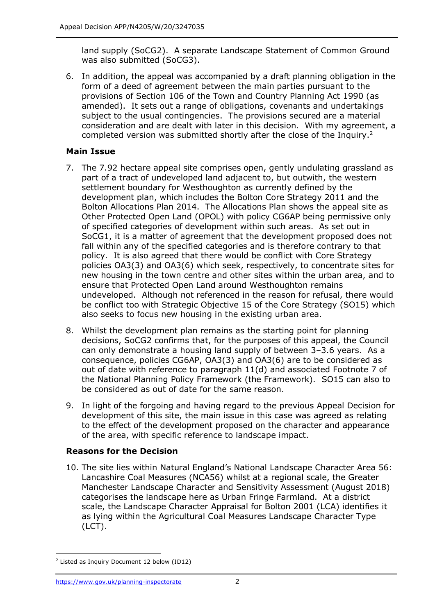land supply (SoCG2). A separate Landscape Statement of Common Ground was also submitted (SoCG3).

6. In addition, the appeal was accompanied by a draft planning obligation in the form of a deed of agreement between the main parties pursuant to the provisions of Section 106 of the Town and Country Planning Act 1990 (as amended). It sets out a range of obligations, covenants and undertakings subject to the usual contingencies. The provisions secured are a material consideration and are dealt with later in this decision. With my agreement, a completed version was submitted shortly after the close of the Inquiry.<sup>2</sup>

# **Main Issue**

- 7. The 7.92 hectare appeal site comprises open, gently undulating grassland as part of a tract of undeveloped land adjacent to, but outwith, the western settlement boundary for Westhoughton as currently defined by the development plan, which includes the Bolton Core Strategy 2011 and the Bolton Allocations Plan 2014. The Allocations Plan shows the appeal site as Other Protected Open Land (OPOL) with policy CG6AP being permissive only of specified categories of development within such areas. As set out in SoCG1, it is a matter of agreement that the development proposed does not fall within any of the specified categories and is therefore contrary to that policy. It is also agreed that there would be conflict with Core Strategy policies OA3(3) and OA3(6) which seek, respectively, to concentrate sites for new housing in the town centre and other sites within the urban area, and to ensure that Protected Open Land around Westhoughton remains undeveloped. Although not referenced in the reason for refusal, there would be conflict too with Strategic Objective 15 of the Core Strategy (SO15) which also seeks to focus new housing in the existing urban area.
- 8. Whilst the development plan remains as the starting point for planning decisions, SoCG2 confirms that, for the purposes of this appeal, the Council can only demonstrate a housing land supply of between 3–3.6 years. As a consequence, policies CG6AP, OA3(3) and OA3(6) are to be considered as out of date with reference to paragraph 11(d) and associated Footnote 7 of the National Planning Policy Framework (the Framework). SO15 can also to be considered as out of date for the same reason.
- 9. In light of the forgoing and having regard to the previous Appeal Decision for development of this site, the main issue in this case was agreed as relating to the effect of the development proposed on the character and appearance of the area, with specific reference to landscape impact.

# **Reasons for the Decision**

10. The site lies within Natural England's National Landscape Character Area 56: Lancashire Coal Measures (NCA56) whilst at a regional scale, the Greater Manchester Landscape Character and Sensitivity Assessment (August 2018) categorises the landscape here as Urban Fringe Farmland. At a district scale, the Landscape Character Appraisal for Bolton 2001 (LCA) identifies it as lying within the Agricultural Coal Measures Landscape Character Type (LCT).

<sup>2</sup> Listed as Inquiry Document 12 below (ID12)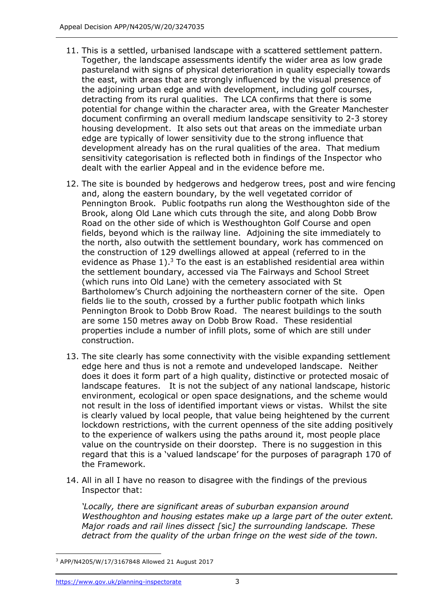- 11. This is a settled, urbanised landscape with a scattered settlement pattern. Together, the landscape assessments identify the wider area as low grade pastureland with signs of physical deterioration in quality especially towards the east, with areas that are strongly influenced by the visual presence of the adjoining urban edge and with development, including golf courses, detracting from its rural qualities. The LCA confirms that there is some potential for change within the character area, with the Greater Manchester document confirming an overall medium landscape sensitivity to 2-3 storey housing development. It also sets out that areas on the immediate urban edge are typically of lower sensitivity due to the strong influence that development already has on the rural qualities of the area. That medium sensitivity categorisation is reflected both in findings of the Inspector who dealt with the earlier Appeal and in the evidence before me.
- 12. The site is bounded by hedgerows and hedgerow trees, post and wire fencing and, along the eastern boundary, by the well vegetated corridor of Pennington Brook. Public footpaths run along the Westhoughton side of the Brook, along Old Lane which cuts through the site, and along Dobb Brow Road on the other side of which is Westhoughton Golf Course and open fields, beyond which is the railway line. Adjoining the site immediately to the north, also outwith the settlement boundary, work has commenced on the construction of 129 dwellings allowed at appeal (referred to in the evidence as Phase  $1$ ).<sup>3</sup> To the east is an established residential area within the settlement boundary, accessed via The Fairways and School Street (which runs into Old Lane) with the cemetery associated with St Bartholomew's Church adjoining the northeastern corner of the site. Open fields lie to the south, crossed by a further public footpath which links Pennington Brook to Dobb Brow Road. The nearest buildings to the south are some 150 metres away on Dobb Brow Road. These residential properties include a number of infill plots, some of which are still under construction.
- 13. The site clearly has some connectivity with the visible expanding settlement edge here and thus is not a remote and undeveloped landscape. Neither does it does it form part of a high quality, distinctive or protected mosaic of landscape features. It is not the subject of any national landscape, historic environment, ecological or open space designations, and the scheme would not result in the loss of identified important views or vistas. Whilst the site is clearly valued by local people, that value being heightened by the current lockdown restrictions, with the current openness of the site adding positively to the experience of walkers using the paths around it, most people place value on the countryside on their doorstep. There is no suggestion in this regard that this is a 'valued landscape' for the purposes of paragraph 170 of the Framework.
- 14. All in all I have no reason to disagree with the findings of the previous Inspector that:

*'Locally, there are significant areas of suburban expansion around Westhoughton and housing estates make up a large part of the outer extent. Major roads and rail lines dissect [*sic*] the surrounding landscape. These detract from the quality of the urban fringe on the west side of the town.* 

<sup>3</sup> APP/N4205/W/17/3167848 Allowed 21 August 2017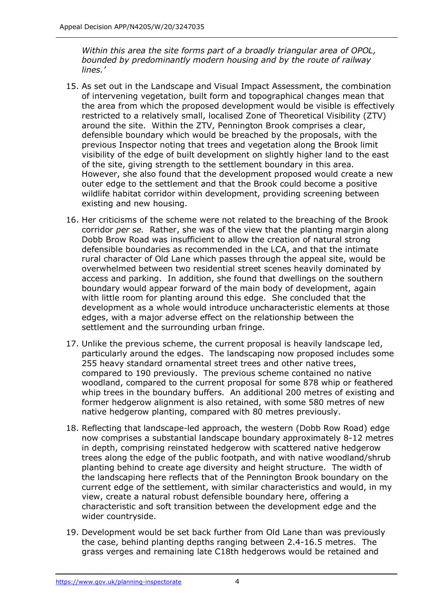*Within this area the site forms part of a broadly triangular area of OPOL, bounded by predominantly modern housing and by the route of railway lines.'*

- 15. As set out in the Landscape and Visual Impact Assessment, the combination of intervening vegetation, built form and topographical changes mean that the area from which the proposed development would be visible is effectively restricted to a relatively small, localised Zone of Theoretical Visibility (ZTV) around the site. Within the ZTV, Pennington Brook comprises a clear, defensible boundary which would be breached by the proposals, with the previous Inspector noting that trees and vegetation along the Brook limit visibility of the edge of built development on slightly higher land to the east of the site, giving strength to the settlement boundary in this area. However, she also found that the development proposed would create a new outer edge to the settlement and that the Brook could become a positive wildlife habitat corridor within development, providing screening between existing and new housing.
- 16. Her criticisms of the scheme were not related to the breaching of the Brook corridor *per se.* Rather, she was of the view that the planting margin along Dobb Brow Road was insufficient to allow the creation of natural strong defensible boundaries as recommended in the LCA, and that the intimate rural character of Old Lane which passes through the appeal site, would be overwhelmed between two residential street scenes heavily dominated by access and parking. In addition, she found that dwellings on the southern boundary would appear forward of the main body of development, again with little room for planting around this edge. She concluded that the development as a whole would introduce uncharacteristic elements at those edges, with a major adverse effect on the relationship between the settlement and the surrounding urban fringe.
- 17. Unlike the previous scheme, the current proposal is heavily landscape led, particularly around the edges. The landscaping now proposed includes some 255 heavy standard ornamental street trees and other native trees, compared to 190 previously. The previous scheme contained no native woodland, compared to the current proposal for some 878 whip or feathered whip trees in the boundary buffers. An additional 200 metres of existing and former hedgerow alignment is also retained, with some 580 metres of new native hedgerow planting, compared with 80 metres previously.
- 18. Reflecting that landscape-led approach, the western (Dobb Row Road) edge now comprises a substantial landscape boundary approximately 8-12 metres in depth, comprising reinstated hedgerow with scattered native hedgerow trees along the edge of the public footpath, and with native woodland/shrub planting behind to create age diversity and height structure. The width of the landscaping here reflects that of the Pennington Brook boundary on the current edge of the settlement, with similar characteristics and would, in my view, create a natural robust defensible boundary here, offering a characteristic and soft transition between the development edge and the wider countryside.
- 19. Development would be set back further from Old Lane than was previously the case, behind planting depths ranging between 2.4-16.5 metres. The grass verges and remaining late C18th hedgerows would be retained and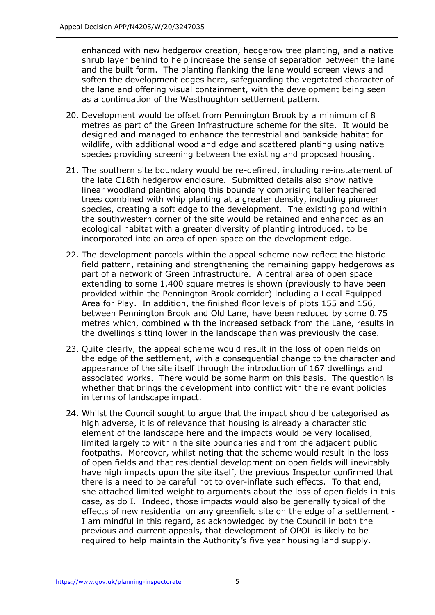enhanced with new hedgerow creation, hedgerow tree planting, and a native shrub layer behind to help increase the sense of separation between the lane and the built form. The planting flanking the lane would screen views and soften the development edges here, safeguarding the vegetated character of the lane and offering visual containment, with the development being seen as a continuation of the Westhoughton settlement pattern.

- 20. Development would be offset from Pennington Brook by a minimum of 8 metres as part of the Green Infrastructure scheme for the site. It would be designed and managed to enhance the terrestrial and bankside habitat for wildlife, with additional woodland edge and scattered planting using native species providing screening between the existing and proposed housing.
- 21. The southern site boundary would be re-defined, including re-instatement of the late C18th hedgerow enclosure. Submitted details also show native linear woodland planting along this boundary comprising taller feathered trees combined with whip planting at a greater density, including pioneer species, creating a soft edge to the development. The existing pond within the southwestern corner of the site would be retained and enhanced as an ecological habitat with a greater diversity of planting introduced, to be incorporated into an area of open space on the development edge.
- 22. The development parcels within the appeal scheme now reflect the historic field pattern, retaining and strengthening the remaining gappy hedgerows as part of a network of Green Infrastructure. A central area of open space extending to some 1,400 square metres is shown (previously to have been provided within the Pennington Brook corridor) including a Local Equipped Area for Play. In addition, the finished floor levels of plots 155 and 156, between Pennington Brook and Old Lane, have been reduced by some 0.75 metres which, combined with the increased setback from the Lane, results in the dwellings sitting lower in the landscape than was previously the case.
- 23. Quite clearly, the appeal scheme would result in the loss of open fields on the edge of the settlement, with a consequential change to the character and appearance of the site itself through the introduction of 167 dwellings and associated works. There would be some harm on this basis. The question is whether that brings the development into conflict with the relevant policies in terms of landscape impact.
- 24. Whilst the Council sought to argue that the impact should be categorised as high adverse, it is of relevance that housing is already a characteristic element of the landscape here and the impacts would be very localised, limited largely to within the site boundaries and from the adjacent public footpaths. Moreover, whilst noting that the scheme would result in the loss of open fields and that residential development on open fields will inevitably have high impacts upon the site itself, the previous Inspector confirmed that there is a need to be careful not to over-inflate such effects. To that end, she attached limited weight to arguments about the loss of open fields in this case, as do I. Indeed, those impacts would also be generally typical of the effects of new residential on any greenfield site on the edge of a settlement - I am mindful in this regard, as acknowledged by the Council in both the previous and current appeals, that development of OPOL is likely to be required to help maintain the Authority's five year housing land supply.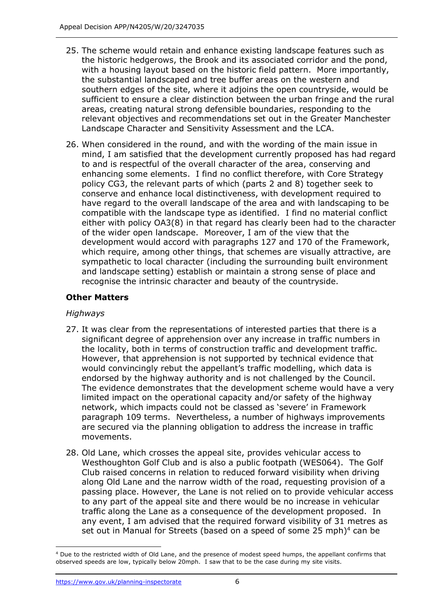- 25. The scheme would retain and enhance existing landscape features such as the historic hedgerows, the Brook and its associated corridor and the pond, with a housing layout based on the historic field pattern. More importantly, the substantial landscaped and tree buffer areas on the western and southern edges of the site, where it adjoins the open countryside, would be sufficient to ensure a clear distinction between the urban fringe and the rural areas, creating natural strong defensible boundaries, responding to the relevant objectives and recommendations set out in the Greater Manchester Landscape Character and Sensitivity Assessment and the LCA.
- 26. When considered in the round, and with the wording of the main issue in mind, I am satisfied that the development currently proposed has had regard to and is respectful of the overall character of the area, conserving and enhancing some elements. I find no conflict therefore, with Core Strategy policy CG3, the relevant parts of which (parts 2 and 8) together seek to conserve and enhance local distinctiveness, with development required to have regard to the overall landscape of the area and with landscaping to be compatible with the landscape type as identified. I find no material conflict either with policy OA3(8) in that regard has clearly been had to the character of the wider open landscape. Moreover, I am of the view that the development would accord with paragraphs 127 and 170 of the Framework, which require, among other things, that schemes are visually attractive, are sympathetic to local character (including the surrounding built environment and landscape setting) establish or maintain a strong sense of place and recognise the intrinsic character and beauty of the countryside.

# **Other Matters**

# *Highways*

- 27. It was clear from the representations of interested parties that there is a significant degree of apprehension over any increase in traffic numbers in the locality, both in terms of construction traffic and development traffic. However, that apprehension is not supported by technical evidence that would convincingly rebut the appellant's traffic modelling, which data is endorsed by the highway authority and is not challenged by the Council. The evidence demonstrates that the development scheme would have a very limited impact on the operational capacity and/or safety of the highway network, which impacts could not be classed as 'severe' in Framework paragraph 109 terms. Nevertheless, a number of highways improvements are secured via the planning obligation to address the increase in traffic movements.
- 28. Old Lane, which crosses the appeal site, provides vehicular access to Westhoughton Golf Club and is also a public footpath (WES064). The Golf Club raised concerns in relation to reduced forward visibility when driving along Old Lane and the narrow width of the road, requesting provision of a passing place. However, the Lane is not relied on to provide vehicular access to any part of the appeal site and there would be no increase in vehicular traffic along the Lane as a consequence of the development proposed. In any event, I am advised that the required forward visibility of 31 metres as set out in Manual for Streets (based on a speed of some 25 mph)<sup>4</sup> can be

<sup>&</sup>lt;sup>4</sup> Due to the restricted width of Old Lane, and the presence of modest speed humps, the appellant confirms that observed speeds are low, typically below 20mph. I saw that to be the case during my site visits.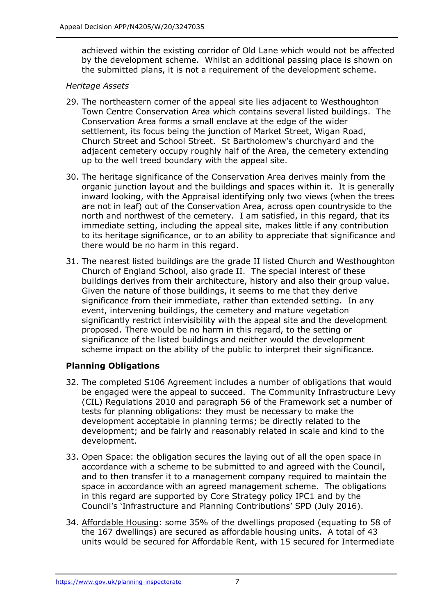achieved within the existing corridor of Old Lane which would not be affected by the development scheme. Whilst an additional passing place is shown on the submitted plans, it is not a requirement of the development scheme.

## *Heritage Assets*

- 29. The northeastern corner of the appeal site lies adjacent to Westhoughton Town Centre Conservation Area which contains several listed buildings. The Conservation Area forms a small enclave at the edge of the wider settlement, its focus being the junction of Market Street, Wigan Road, Church Street and School Street. St Bartholomew's churchyard and the adjacent cemetery occupy roughly half of the Area, the cemetery extending up to the well treed boundary with the appeal site.
- 30. The heritage significance of the Conservation Area derives mainly from the organic junction layout and the buildings and spaces within it. It is generally inward looking, with the Appraisal identifying only two views (when the trees are not in leaf) out of the Conservation Area, across open countryside to the north and northwest of the cemetery. I am satisfied, in this regard, that its immediate setting, including the appeal site, makes little if any contribution to its heritage significance, or to an ability to appreciate that significance and there would be no harm in this regard.
- 31. The nearest listed buildings are the grade II listed Church and Westhoughton Church of England School, also grade II. The special interest of these buildings derives from their architecture, history and also their group value. Given the nature of those buildings, it seems to me that they derive significance from their immediate, rather than extended setting. In any event, intervening buildings, the cemetery and mature vegetation significantly restrict intervisibility with the appeal site and the development proposed. There would be no harm in this regard, to the setting or significance of the listed buildings and neither would the development scheme impact on the ability of the public to interpret their significance.

# **Planning Obligations**

- 32. The completed S106 Agreement includes a number of obligations that would be engaged were the appeal to succeed. The Community Infrastructure Levy (CIL) Regulations 2010 and paragraph 56 of the Framework set a number of tests for planning obligations: they must be necessary to make the development acceptable in planning terms; be directly related to the development; and be fairly and reasonably related in scale and kind to the development.
- 33. Open Space: the obligation secures the laying out of all the open space in accordance with a scheme to be submitted to and agreed with the Council, and to then transfer it to a management company required to maintain the space in accordance with an agreed management scheme. The obligations in this regard are supported by Core Strategy policy IPC1 and by the Council's 'Infrastructure and Planning Contributions' SPD (July 2016).
- 34. Affordable Housing: some 35% of the dwellings proposed (equating to 58 of the 167 dwellings) are secured as affordable housing units. A total of 43 units would be secured for Affordable Rent, with 15 secured for Intermediate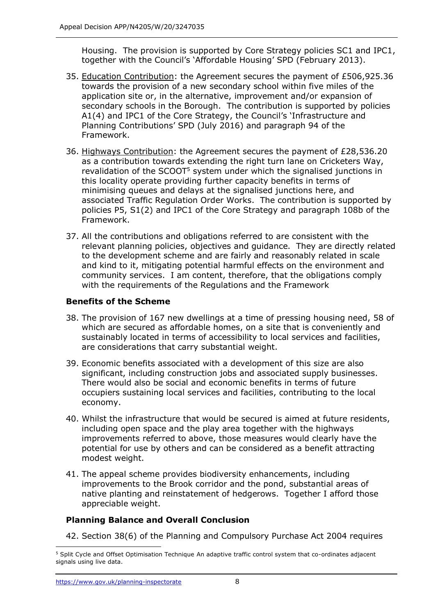Housing. The provision is supported by Core Strategy policies SC1 and IPC1, together with the Council's 'Affordable Housing' SPD (February 2013).

- 35. Education Contribution: the Agreement secures the payment of £506,925.36 towards the provision of a new secondary school within five miles of the application site or, in the alternative, improvement and/or expansion of secondary schools in the Borough. The contribution is supported by policies A1(4) and IPC1 of the Core Strategy, the Council's 'Infrastructure and Planning Contributions' SPD (July 2016) and paragraph 94 of the Framework.
- 36. Highways Contribution: the Agreement secures the payment of £28,536.20 as a contribution towards extending the right turn lane on Cricketers Way, revalidation of the SCOOT<sup>5</sup> system under which the signalised junctions in this locality operate providing further capacity benefits in terms of minimising queues and delays at the signalised junctions here, and associated Traffic Regulation Order Works. The contribution is supported by policies P5, S1(2) and IPC1 of the Core Strategy and paragraph 108b of the Framework.
- 37. All the contributions and obligations referred to are consistent with the relevant planning policies, objectives and guidance. They are directly related to the development scheme and are fairly and reasonably related in scale and kind to it, mitigating potential harmful effects on the environment and community services. I am content, therefore, that the obligations comply with the requirements of the Regulations and the Framework

# **Benefits of the Scheme**

- 38. The provision of 167 new dwellings at a time of pressing housing need, 58 of which are secured as affordable homes, on a site that is conveniently and sustainably located in terms of accessibility to local services and facilities, are considerations that carry substantial weight.
- 39. Economic benefits associated with a development of this size are also significant, including construction jobs and associated supply businesses. There would also be social and economic benefits in terms of future occupiers sustaining local services and facilities, contributing to the local economy.
- 40. Whilst the infrastructure that would be secured is aimed at future residents, including open space and the play area together with the highways improvements referred to above, those measures would clearly have the potential for use by others and can be considered as a benefit attracting modest weight.
- 41. The appeal scheme provides biodiversity enhancements, including improvements to the Brook corridor and the pond, substantial areas of native planting and reinstatement of hedgerows. Together I afford those appreciable weight.

## **Planning Balance and Overall Conclusion**

42. Section 38(6) of the Planning and Compulsory Purchase Act 2004 requires

<sup>&</sup>lt;sup>5</sup> Split Cycle and Offset Optimisation Technique An adaptive traffic control system that co-ordinates adjacent signals using live data.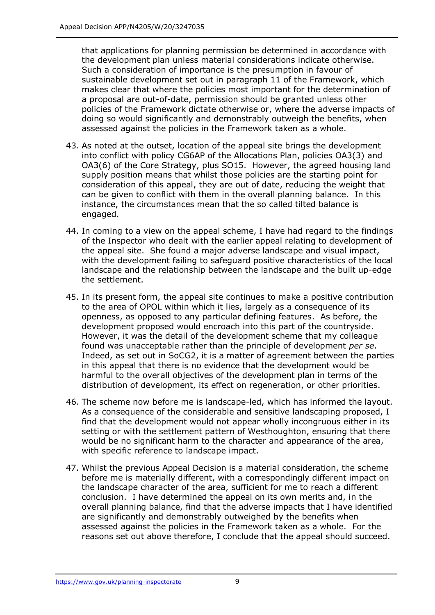that applications for planning permission be determined in accordance with the development plan unless material considerations indicate otherwise. Such a consideration of importance is the presumption in favour of sustainable development set out in paragraph 11 of the Framework, which makes clear that where the policies most important for the determination of a proposal are out-of-date, permission should be granted unless other policies of the Framework dictate otherwise or, where the adverse impacts of doing so would significantly and demonstrably outweigh the benefits, when assessed against the policies in the Framework taken as a whole.

- 43. As noted at the outset, location of the appeal site brings the development into conflict with policy CG6AP of the Allocations Plan, policies OA3(3) and OA3(6) of the Core Strategy, plus SO15. However, the agreed housing land supply position means that whilst those policies are the starting point for consideration of this appeal, they are out of date, reducing the weight that can be given to conflict with them in the overall planning balance. In this instance, the circumstances mean that the so called tilted balance is engaged.
- 44. In coming to a view on the appeal scheme, I have had regard to the findings of the Inspector who dealt with the earlier appeal relating to development of the appeal site. She found a major adverse landscape and visual impact, with the development failing to safeguard positive characteristics of the local landscape and the relationship between the landscape and the built up-edge the settlement.
- 45. In its present form, the appeal site continues to make a positive contribution to the area of OPOL within which it lies, largely as a consequence of its openness, as opposed to any particular defining features. As before, the development proposed would encroach into this part of the countryside. However, it was the detail of the development scheme that my colleague found was unacceptable rather than the principle of development *per se*. Indeed, as set out in SoCG2, it is a matter of agreement between the parties in this appeal that there is no evidence that the development would be harmful to the overall objectives of the development plan in terms of the distribution of development, its effect on regeneration, or other priorities.
- 46. The scheme now before me is landscape-led, which has informed the layout. As a consequence of the considerable and sensitive landscaping proposed, I find that the development would not appear wholly incongruous either in its setting or with the settlement pattern of Westhoughton, ensuring that there would be no significant harm to the character and appearance of the area, with specific reference to landscape impact.
- 47. Whilst the previous Appeal Decision is a material consideration, the scheme before me is materially different, with a correspondingly different impact on the landscape character of the area, sufficient for me to reach a different conclusion. I have determined the appeal on its own merits and, in the overall planning balance, find that the adverse impacts that I have identified are significantly and demonstrably outweighed by the benefits when assessed against the policies in the Framework taken as a whole. For the reasons set out above therefore, I conclude that the appeal should succeed.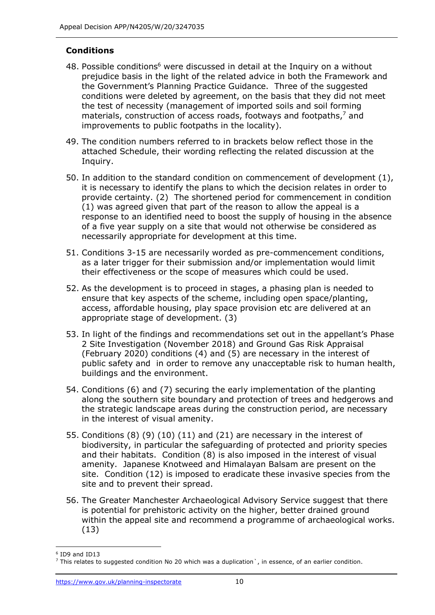# **Conditions**

- 48. Possible conditions<sup>6</sup> were discussed in detail at the Inquiry on a without prejudice basis in the light of the related advice in both the Framework and the Government's Planning Practice Guidance. Three of the suggested conditions were deleted by agreement, on the basis that they did not meet the test of necessity (management of imported soils and soil forming materials, construction of access roads, footways and footpaths,<sup>7</sup> and improvements to public footpaths in the locality).
- 49. The condition numbers referred to in brackets below reflect those in the attached Schedule, their wording reflecting the related discussion at the Inquiry.
- 50. In addition to the standard condition on commencement of development (1), it is necessary to identify the plans to which the decision relates in order to provide certainty. (2) The shortened period for commencement in condition (1) was agreed given that part of the reason to allow the appeal is a response to an identified need to boost the supply of housing in the absence of a five year supply on a site that would not otherwise be considered as necessarily appropriate for development at this time.
- 51. Conditions 3-15 are necessarily worded as pre-commencement conditions, as a later trigger for their submission and/or implementation would limit their effectiveness or the scope of measures which could be used.
- 52. As the development is to proceed in stages, a phasing plan is needed to ensure that key aspects of the scheme, including open space/planting, access, affordable housing, play space provision etc are delivered at an appropriate stage of development. (3)
- 53. In light of the findings and recommendations set out in the appellant's Phase 2 Site Investigation (November 2018) and Ground Gas Risk Appraisal (February 2020) conditions (4) and (5) are necessary in the interest of public safety and in order to remove any unacceptable risk to human health, buildings and the environment.
- 54. Conditions (6) and (7) securing the early implementation of the planting along the southern site boundary and protection of trees and hedgerows and the strategic landscape areas during the construction period, are necessary in the interest of visual amenity.
- 55. Conditions (8) (9) (10) (11) and (21) are necessary in the interest of biodiversity, in particular the safeguarding of protected and priority species and their habitats. Condition (8) is also imposed in the interest of visual amenity. Japanese Knotweed and Himalayan Balsam are present on the site. Condition (12) is imposed to eradicate these invasive species from the site and to prevent their spread.
- 56. The Greater Manchester Archaeological Advisory Service suggest that there is potential for prehistoric activity on the higher, better drained ground within the appeal site and recommend a programme of archaeological works. (13)

<sup>6</sup> ID9 and ID13

 $<sup>7</sup>$  This relates to suggested condition No 20 which was a duplication`, in essence, of an earlier condition.</sup>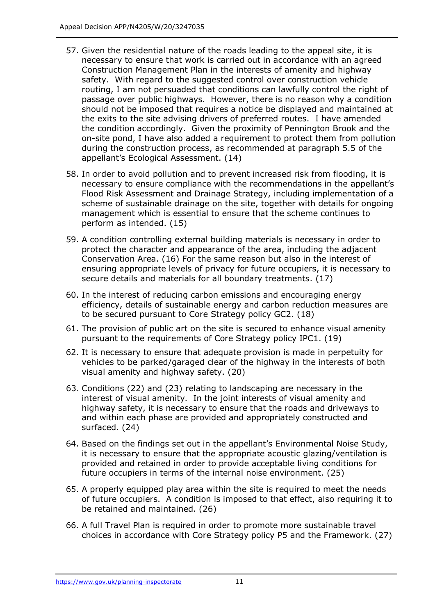- 57. Given the residential nature of the roads leading to the appeal site, it is necessary to ensure that work is carried out in accordance with an agreed Construction Management Plan in the interests of amenity and highway safety. With regard to the suggested control over construction vehicle routing, I am not persuaded that conditions can lawfully control the right of passage over public highways. However, there is no reason why a condition should not be imposed that requires a notice be displayed and maintained at the exits to the site advising drivers of preferred routes. I have amended the condition accordingly. Given the proximity of Pennington Brook and the on-site pond, I have also added a requirement to protect them from pollution during the construction process, as recommended at paragraph 5.5 of the appellant's Ecological Assessment. (14)
- 58. In order to avoid pollution and to prevent increased risk from flooding, it is necessary to ensure compliance with the recommendations in the appellant's Flood Risk Assessment and Drainage Strategy, including implementation of a scheme of sustainable drainage on the site, together with details for ongoing management which is essential to ensure that the scheme continues to perform as intended. (15)
- 59. A condition controlling external building materials is necessary in order to protect the character and appearance of the area, including the adjacent Conservation Area. (16) For the same reason but also in the interest of ensuring appropriate levels of privacy for future occupiers, it is necessary to secure details and materials for all boundary treatments. (17)
- 60. In the interest of reducing carbon emissions and encouraging energy efficiency, details of sustainable energy and carbon reduction measures are to be secured pursuant to Core Strategy policy GC2. (18)
- 61. The provision of public art on the site is secured to enhance visual amenity pursuant to the requirements of Core Strategy policy IPC1. (19)
- 62. It is necessary to ensure that adequate provision is made in perpetuity for vehicles to be parked/garaged clear of the highway in the interests of both visual amenity and highway safety. (20)
- 63. Conditions (22) and (23) relating to landscaping are necessary in the interest of visual amenity. In the joint interests of visual amenity and highway safety, it is necessary to ensure that the roads and driveways to and within each phase are provided and appropriately constructed and surfaced. (24)
- 64. Based on the findings set out in the appellant's Environmental Noise Study, it is necessary to ensure that the appropriate acoustic glazing/ventilation is provided and retained in order to provide acceptable living conditions for future occupiers in terms of the internal noise environment. (25)
- 65. A properly equipped play area within the site is required to meet the needs of future occupiers. A condition is imposed to that effect, also requiring it to be retained and maintained. (26)
- 66. A full Travel Plan is required in order to promote more sustainable travel choices in accordance with Core Strategy policy P5 and the Framework. (27)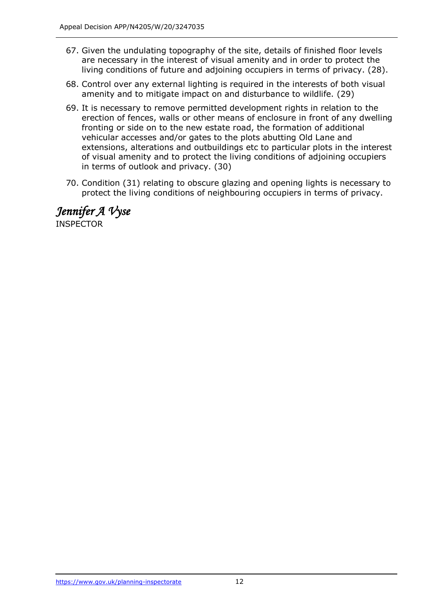- 67. Given the undulating topography of the site, details of finished floor levels are necessary in the interest of visual amenity and in order to protect the living conditions of future and adjoining occupiers in terms of privacy. (28).
- 68. Control over any external lighting is required in the interests of both visual amenity and to mitigate impact on and disturbance to wildlife. (29)
- 69. It is necessary to remove permitted development rights in relation to the erection of fences, walls or other means of enclosure in front of any dwelling fronting or side on to the new estate road, the formation of additional vehicular accesses and/or gates to the plots abutting Old Lane and extensions, alterations and outbuildings etc to particular plots in the interest of visual amenity and to protect the living conditions of adjoining occupiers in terms of outlook and privacy. (30)
- 70. Condition (31) relating to obscure glazing and opening lights is necessary to protect the living conditions of neighbouring occupiers in terms of privacy.

*Jennifer A Vyse* INSPECTOR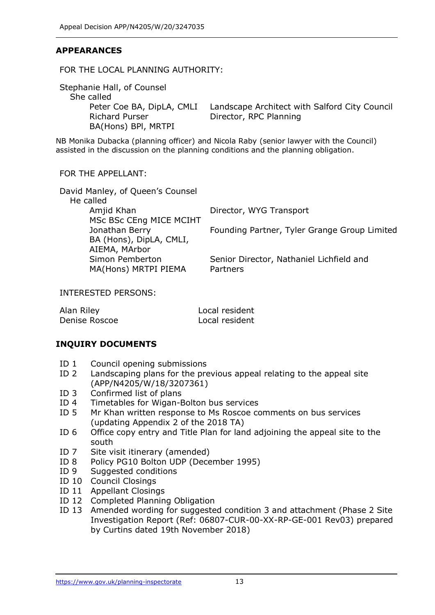# **APPEARANCES**

#### FOR THE LOCAL PLANNING AUTHORITY:

Stephanie Hall, of Counsel She called Richard Purser BA(Hons) BPl, MRTPI

Peter Coe BA, DipLA, CMLI Landscape Architect with Salford City Council Director, RPC Planning

NB Monika Dubacka (planning officer) and Nicola Raby (senior lawyer with the Council) assisted in the discussion on the planning conditions and the planning obligation.

#### FOR THE APPELLANT:

| David Manley, of Queen's Counsel |                                              |
|----------------------------------|----------------------------------------------|
| He called                        |                                              |
| Amjid Khan                       | Director, WYG Transport                      |
| MSc BSc CEng MICE MCIHT          |                                              |
| Jonathan Berry                   | Founding Partner, Tyler Grange Group Limited |
| BA (Hons), DipLA, CMLI,          |                                              |
| AIEMA, MArbor                    |                                              |
| Simon Pemberton                  | Senior Director, Nathaniel Lichfield and     |
| MA(Hons) MRTPI PIEMA             | Partners                                     |
|                                  |                                              |

INTERESTED PERSONS:

| Alan Riley    | Local resident |
|---------------|----------------|
| Denise Roscoe | Local resident |

## **INQUIRY DOCUMENTS**

- ID 1 Council opening submissions
- ID 2 Landscaping plans for the previous appeal relating to the appeal site (APP/N4205/W/18/3207361)
- ID 3 Confirmed list of plans
- ID 4 Timetables for Wigan-Bolton bus services
- ID 5 Mr Khan written response to Ms Roscoe comments on bus services (updating Appendix 2 of the 2018 TA)
- ID 6 Office copy entry and Title Plan for land adjoining the appeal site to the south
- ID 7 Site visit itinerary (amended)
- ID 8 Policy PG10 Bolton UDP (December 1995)
- ID 9 Suggested conditions
- ID 10 Council Closings
- ID 11 Appellant Closings
- ID 12 Completed Planning Obligation
- ID 13 Amended wording for suggested condition 3 and attachment (Phase 2 Site Investigation Report (Ref: 06807-CUR-00-XX-RP-GE-001 Rev03) prepared by Curtins dated 19th November 2018)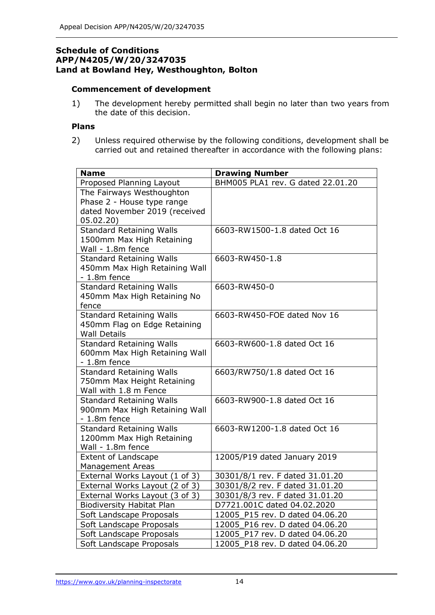## **Schedule of Conditions APP/N4205/W/20/3247035 Land at Bowland Hey, Westhoughton, Bolton**

#### **Commencement of development**

1) The development hereby permitted shall begin no later than two years from the date of this decision.

## **Plans**

2) Unless required otherwise by the following conditions, development shall be carried out and retained thereafter in accordance with the following plans:

| <b>Name</b>                                    | <b>Drawing Number</b>             |
|------------------------------------------------|-----------------------------------|
| Proposed Planning Layout                       | BHM005 PLA1 rev. G dated 22.01.20 |
| The Fairways Westhoughton                      |                                   |
| Phase 2 - House type range                     |                                   |
| dated November 2019 (received                  |                                   |
| 05.02.20)                                      |                                   |
| Standard Retaining Walls                       | 6603-RW1500-1.8 dated Oct 16      |
| 1500mm Max High Retaining                      |                                   |
| Wall - 1.8m fence                              |                                   |
| <b>Standard Retaining Walls</b>                | 6603-RW450-1.8                    |
| 450mm Max High Retaining Wall                  |                                   |
| $-1.8m$ fence                                  |                                   |
| <b>Standard Retaining Walls</b>                | 6603-RW450-0                      |
| 450mm Max High Retaining No                    |                                   |
| fence                                          |                                   |
| <b>Standard Retaining Walls</b>                | 6603-RW450-FOE dated Nov 16       |
| 450mm Flag on Edge Retaining                   |                                   |
| <b>Wall Details</b>                            |                                   |
| <b>Standard Retaining Walls</b>                | 6603-RW600-1.8 dated Oct 16       |
| 600mm Max High Retaining Wall                  |                                   |
| $-1.8m$ fence                                  |                                   |
| <b>Standard Retaining Walls</b>                | 6603/RW750/1.8 dated Oct 16       |
| 750mm Max Height Retaining                     |                                   |
| Wall with 1.8 m Fence                          | 6603-RW900-1.8 dated Oct 16       |
| <b>Standard Retaining Walls</b>                |                                   |
| 900mm Max High Retaining Wall<br>$-1.8m$ fence |                                   |
| <b>Standard Retaining Walls</b>                | 6603-RW1200-1.8 dated Oct 16      |
| 1200mm Max High Retaining                      |                                   |
| Wall - 1.8m fence                              |                                   |
| <b>Extent of Landscape</b>                     | 12005/P19 dated January 2019      |
| <b>Management Areas</b>                        |                                   |
| External Works Layout (1 of 3)                 | 30301/8/1 rev. F dated 31.01.20   |
| External Works Layout (2 of 3)                 | 30301/8/2 rev. F dated 31.01.20   |
| External Works Layout (3 of 3)                 | 30301/8/3 rev. F dated 31.01.20   |
| <b>Biodiversity Habitat Plan</b>               | D7721.001C dated 04.02.2020       |
| Soft Landscape Proposals                       | 12005 P15 rev. D dated 04.06.20   |
| Soft Landscape Proposals                       | 12005_P16 rev. D dated 04.06.20   |
| Soft Landscape Proposals                       | 12005_P17 rev. D dated 04.06.20   |
| Soft Landscape Proposals                       | 12005_P18 rev. D dated 04.06.20   |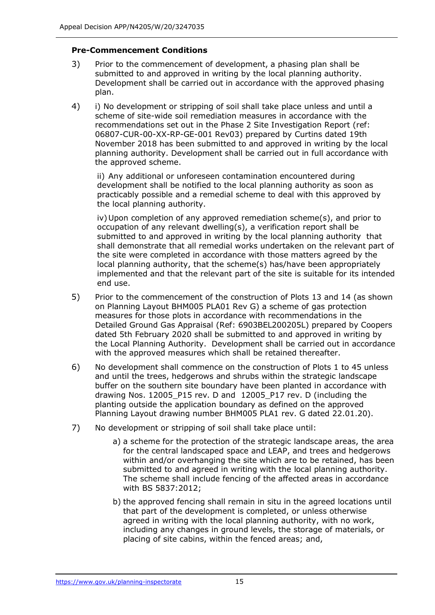## **Pre-Commencement Conditions**

- 3) Prior to the commencement of development, a phasing plan shall be submitted to and approved in writing by the local planning authority. Development shall be carried out in accordance with the approved phasing plan.
- 4) i) No development or stripping of soil shall take place unless and until a scheme of site-wide soil remediation measures in accordance with the recommendations set out in the Phase 2 Site Investigation Report (ref: 06807-CUR-00-XX-RP-GE-001 Rev03) prepared by Curtins dated 19th November 2018 has been submitted to and approved in writing by the local planning authority. Development shall be carried out in full accordance with the approved scheme.

ii) Any additional or unforeseen contamination encountered during development shall be notified to the local planning authority as soon as practicably possible and a remedial scheme to deal with this approved by the local planning authority.

iv)Upon completion of any approved remediation scheme(s), and prior to occupation of any relevant dwelling(s), a verification report shall be submitted to and approved in writing by the local planning authority that shall demonstrate that all remedial works undertaken on the relevant part of the site were completed in accordance with those matters agreed by the local planning authority, that the scheme(s) has/have been appropriately implemented and that the relevant part of the site is suitable for its intended end use.

- 5) Prior to the commencement of the construction of Plots 13 and 14 (as shown on Planning Layout BHM005 PLA01 Rev G) a scheme of gas protection measures for those plots in accordance with recommendations in the Detailed Ground Gas Appraisal (Ref: 6903BEL200205L) prepared by Coopers dated 5th February 2020 shall be submitted to and approved in writing by the Local Planning Authority. Development shall be carried out in accordance with the approved measures which shall be retained thereafter.
- 6) No development shall commence on the construction of Plots 1 to 45 unless and until the trees, hedgerows and shrubs within the strategic landscape buffer on the southern site boundary have been planted in accordance with drawing Nos. 12005\_P15 rev. D and 12005\_P17 rev. D (including the planting outside the application boundary as defined on the approved Planning Layout drawing number BHM005 PLA1 rev. G dated 22.01.20).
- 7) No development or stripping of soil shall take place until:
	- a) a scheme for the protection of the strategic landscape areas, the area for the central landscaped space and LEAP, and trees and hedgerows within and/or overhanging the site which are to be retained, has been submitted to and agreed in writing with the local planning authority. The scheme shall include fencing of the affected areas in accordance with BS 5837:2012;
	- b) the approved fencing shall remain in situ in the agreed locations until that part of the development is completed, or unless otherwise agreed in writing with the local planning authority, with no work, including any changes in ground levels, the storage of materials, or placing of site cabins, within the fenced areas; and,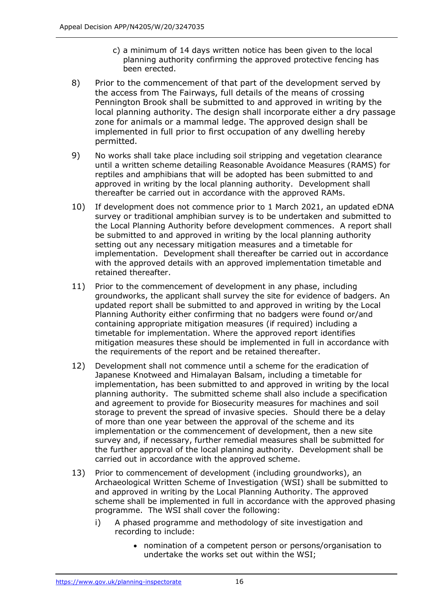- c) a minimum of 14 days written notice has been given to the local planning authority confirming the approved protective fencing has been erected.
- 8) Prior to the commencement of that part of the development served by the access from The Fairways, full details of the means of crossing Pennington Brook shall be submitted to and approved in writing by the local planning authority. The design shall incorporate either a dry passage zone for animals or a mammal ledge. The approved design shall be implemented in full prior to first occupation of any dwelling hereby permitted.
- 9) No works shall take place including soil stripping and vegetation clearance until a written scheme detailing Reasonable Avoidance Measures (RAMS) for reptiles and amphibians that will be adopted has been submitted to and approved in writing by the local planning authority. Development shall thereafter be carried out in accordance with the approved RAMs.
- 10) If development does not commence prior to 1 March 2021, an updated eDNA survey or traditional amphibian survey is to be undertaken and submitted to the Local Planning Authority before development commences. A report shall be submitted to and approved in writing by the local planning authority setting out any necessary mitigation measures and a timetable for implementation. Development shall thereafter be carried out in accordance with the approved details with an approved implementation timetable and retained thereafter.
- 11) Prior to the commencement of development in any phase, including groundworks, the applicant shall survey the site for evidence of badgers. An updated report shall be submitted to and approved in writing by the Local Planning Authority either confirming that no badgers were found or/and containing appropriate mitigation measures (if required) including a timetable for implementation. Where the approved report identifies mitigation measures these should be implemented in full in accordance with the requirements of the report and be retained thereafter.
- 12) Development shall not commence until a scheme for the eradication of Japanese Knotweed and Himalayan Balsam, including a timetable for implementation, has been submitted to and approved in writing by the local planning authority. The submitted scheme shall also include a specification and agreement to provide for Biosecurity measures for machines and soil storage to prevent the spread of invasive species. Should there be a delay of more than one year between the approval of the scheme and its implementation or the commencement of development, then a new site survey and, if necessary, further remedial measures shall be submitted for the further approval of the local planning authority. Development shall be carried out in accordance with the approved scheme.
- 13) Prior to commencement of development (including groundworks), an Archaeological Written Scheme of Investigation (WSI) shall be submitted to and approved in writing by the Local Planning Authority. The approved scheme shall be implemented in full in accordance with the approved phasing programme. The WSI shall cover the following:
	- i) A phased programme and methodology of site investigation and recording to include:
		- nomination of a competent person or persons/organisation to undertake the works set out within the WSI;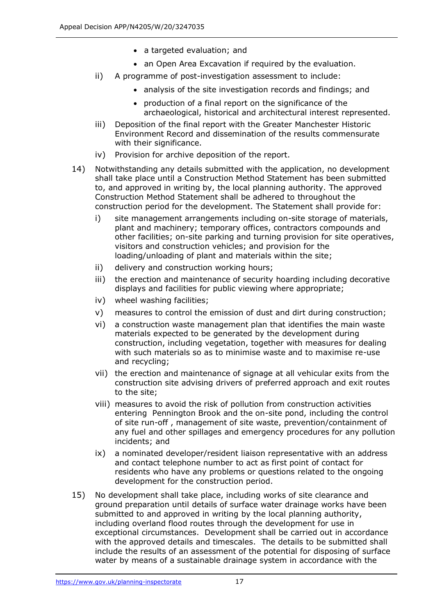- a targeted evaluation; and
- an Open Area Excavation if required by the evaluation.
- ii) A programme of post-investigation assessment to include:
	- analysis of the site investigation records and findings; and
	- production of a final report on the significance of the archaeological, historical and architectural interest represented.
- iii) Deposition of the final report with the Greater Manchester Historic Environment Record and dissemination of the results commensurate with their significance.
- iv) Provision for archive deposition of the report.
- 14) Notwithstanding any details submitted with the application, no development shall take place until a Construction Method Statement has been submitted to, and approved in writing by, the local planning authority. The approved Construction Method Statement shall be adhered to throughout the construction period for the development. The Statement shall provide for:
	- i) site management arrangements including on-site storage of materials, plant and machinery; temporary offices, contractors compounds and other facilities; on-site parking and turning provision for site operatives, visitors and construction vehicles; and provision for the loading/unloading of plant and materials within the site;
	- ii) delivery and construction working hours;
	- iii) the erection and maintenance of security hoarding including decorative displays and facilities for public viewing where appropriate;
	- iv) wheel washing facilities;
	- v) measures to control the emission of dust and dirt during construction;
	- vi) a construction waste management plan that identifies the main waste materials expected to be generated by the development during construction, including vegetation, together with measures for dealing with such materials so as to minimise waste and to maximise re-use and recycling;
	- vii) the erection and maintenance of signage at all vehicular exits from the construction site advising drivers of preferred approach and exit routes to the site;
	- viii) measures to avoid the risk of pollution from construction activities entering Pennington Brook and the on-site pond, including the control of site run-off , management of site waste, prevention/containment of any fuel and other spillages and emergency procedures for any pollution incidents; and
	- ix) a nominated developer/resident liaison representative with an address and contact telephone number to act as first point of contact for residents who have any problems or questions related to the ongoing development for the construction period.
- 15) No development shall take place, including works of site clearance and ground preparation until details of surface water drainage works have been submitted to and approved in writing by the local planning authority, including overland flood routes through the development for use in exceptional circumstances. Development shall be carried out in accordance with the approved details and timescales. The details to be submitted shall include the results of an assessment of the potential for disposing of surface water by means of a sustainable drainage system in accordance with the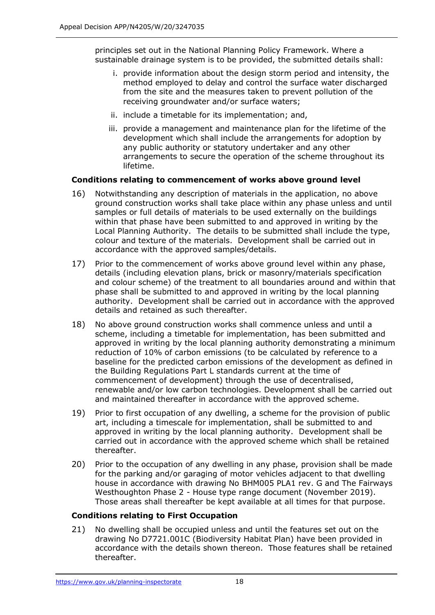principles set out in the National Planning Policy Framework. Where a sustainable drainage system is to be provided, the submitted details shall:

- i. provide information about the design storm period and intensity, the method employed to delay and control the surface water discharged from the site and the measures taken to prevent pollution of the receiving groundwater and/or surface waters;
- ii. include a timetable for its implementation; and,
- iii. provide a management and maintenance plan for the lifetime of the development which shall include the arrangements for adoption by any public authority or statutory undertaker and any other arrangements to secure the operation of the scheme throughout its lifetime.

## **Conditions relating to commencement of works above ground level**

- 16) Notwithstanding any description of materials in the application, no above ground construction works shall take place within any phase unless and until samples or full details of materials to be used externally on the buildings within that phase have been submitted to and approved in writing by the Local Planning Authority. The details to be submitted shall include the type, colour and texture of the materials. Development shall be carried out in accordance with the approved samples/details.
- 17) Prior to the commencement of works above ground level within any phase, details (including elevation plans, brick or masonry/materials specification and colour scheme) of the treatment to all boundaries around and within that phase shall be submitted to and approved in writing by the local planning authority. Development shall be carried out in accordance with the approved details and retained as such thereafter.
- 18) No above ground construction works shall commence unless and until a scheme, including a timetable for implementation, has been submitted and approved in writing by the local planning authority demonstrating a minimum reduction of 10% of carbon emissions (to be calculated by reference to a baseline for the predicted carbon emissions of the development as defined in the Building Regulations Part L standards current at the time of commencement of development) through the use of decentralised, renewable and/or low carbon technologies. Development shall be carried out and maintained thereafter in accordance with the approved scheme.
- 19) Prior to first occupation of any dwelling, a scheme for the provision of public art, including a timescale for implementation, shall be submitted to and approved in writing by the local planning authority. Development shall be carried out in accordance with the approved scheme which shall be retained thereafter.
- 20) Prior to the occupation of any dwelling in any phase, provision shall be made for the parking and/or garaging of motor vehicles adjacent to that dwelling house in accordance with drawing No BHM005 PLA1 rev. G and The Fairways Westhoughton Phase 2 - House type range document (November 2019). Those areas shall thereafter be kept available at all times for that purpose.

## **Conditions relating to First Occupation**

21) No dwelling shall be occupied unless and until the features set out on the drawing No D7721.001C (Biodiversity Habitat Plan) have been provided in accordance with the details shown thereon. Those features shall be retained thereafter.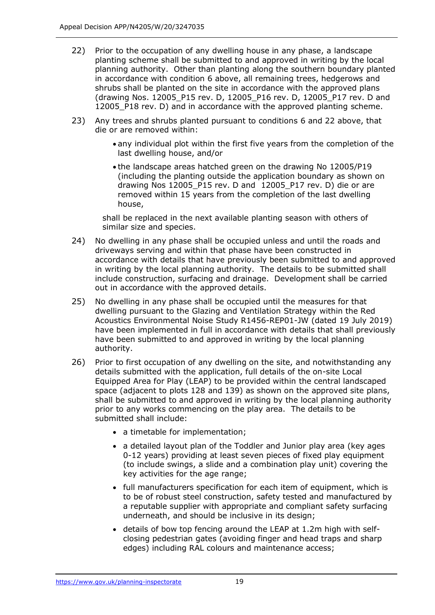- 22) Prior to the occupation of any dwelling house in any phase, a landscape planting scheme shall be submitted to and approved in writing by the local planning authority. Other than planting along the southern boundary planted in accordance with condition 6 above, all remaining trees, hedgerows and shrubs shall be planted on the site in accordance with the approved plans (drawing Nos. 12005\_P15 rev. D, 12005\_P16 rev. D, 12005\_P17 rev. D and 12005 P18 rev. D) and in accordance with the approved planting scheme.
- 23) Any trees and shrubs planted pursuant to conditions 6 and 22 above, that die or are removed within:
	- any individual plot within the first five years from the completion of the last dwelling house, and/or
	- the landscape areas hatched green on the drawing No 12005/P19 (including the planting outside the application boundary as shown on drawing Nos 12005\_P15 rev. D and 12005\_P17 rev. D) die or are removed within 15 years from the completion of the last dwelling house,

shall be replaced in the next available planting season with others of similar size and species.

- 24) No dwelling in any phase shall be occupied unless and until the roads and driveways serving and within that phase have been constructed in accordance with details that have previously been submitted to and approved in writing by the local planning authority. The details to be submitted shall include construction, surfacing and drainage. Development shall be carried out in accordance with the approved details.
- 25) No dwelling in any phase shall be occupied until the measures for that dwelling pursuant to the Glazing and Ventilation Strategy within the Red Acoustics Environmental Noise Study R1456-REP01-JW (dated 19 July 2019) have been implemented in full in accordance with details that shall previously have been submitted to and approved in writing by the local planning authority.
- 26) Prior to first occupation of any dwelling on the site, and notwithstanding any details submitted with the application, full details of the on-site Local Equipped Area for Play (LEAP) to be provided within the central landscaped space (adjacent to plots 128 and 139) as shown on the approved site plans, shall be submitted to and approved in writing by the local planning authority prior to any works commencing on the play area. The details to be submitted shall include:
	- a timetable for implementation;
	- a detailed layout plan of the Toddler and Junior play area (key ages 0-12 years) providing at least seven pieces of fixed play equipment (to include swings, a slide and a combination play unit) covering the key activities for the age range;
	- full manufacturers specification for each item of equipment, which is to be of robust steel construction, safety tested and manufactured by a reputable supplier with appropriate and compliant safety surfacing underneath, and should be inclusive in its design;
	- details of bow top fencing around the LEAP at 1.2m high with selfclosing pedestrian gates (avoiding finger and head traps and sharp edges) including RAL colours and maintenance access;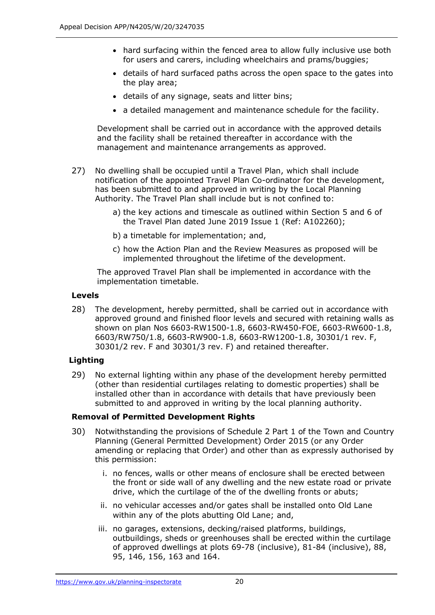- hard surfacing within the fenced area to allow fully inclusive use both for users and carers, including wheelchairs and prams/buggies;
- details of hard surfaced paths across the open space to the gates into the play area;
- details of any signage, seats and litter bins;
- a detailed management and maintenance schedule for the facility.

Development shall be carried out in accordance with the approved details and the facility shall be retained thereafter in accordance with the management and maintenance arrangements as approved.

- 27) No dwelling shall be occupied until a Travel Plan, which shall include notification of the appointed Travel Plan Co-ordinator for the development, has been submitted to and approved in writing by the Local Planning Authority. The Travel Plan shall include but is not confined to:
	- a) the key actions and timescale as outlined within Section 5 and 6 of the Travel Plan dated June 2019 Issue 1 (Ref: A102260);
	- b) a timetable for implementation; and,
	- c) how the Action Plan and the Review Measures as proposed will be implemented throughout the lifetime of the development.

The approved Travel Plan shall be implemented in accordance with the implementation timetable.

#### **Levels**

28) The development, hereby permitted, shall be carried out in accordance with approved ground and finished floor levels and secured with retaining walls as shown on plan Nos 6603-RW1500-1.8, 6603-RW450-FOE, 6603-RW600-1.8, 6603/RW750/1.8, 6603-RW900-1.8, 6603-RW1200-1.8, 30301/1 rev. F, 30301/2 rev. F and 30301/3 rev. F) and retained thereafter.

## **Lighting**

29) No external lighting within any phase of the development hereby permitted (other than residential curtilages relating to domestic properties) shall be installed other than in accordance with details that have previously been submitted to and approved in writing by the local planning authority.

## **Removal of Permitted Development Rights**

- 30) Notwithstanding the provisions of Schedule 2 Part 1 of the Town and Country Planning (General Permitted Development) Order 2015 (or any Order amending or replacing that Order) and other than as expressly authorised by this permission:
	- i. no fences, walls or other means of enclosure shall be erected between the front or side wall of any dwelling and the new estate road or private drive, which the curtilage of the of the dwelling fronts or abuts;
	- ii. no vehicular accesses and/or gates shall be installed onto Old Lane within any of the plots abutting Old Lane; and,
	- iii. no garages, extensions, decking/raised platforms, buildings, outbuildings, sheds or greenhouses shall be erected within the curtilage of approved dwellings at plots 69-78 (inclusive), 81-84 (inclusive), 88, 95, 146, 156, 163 and 164.